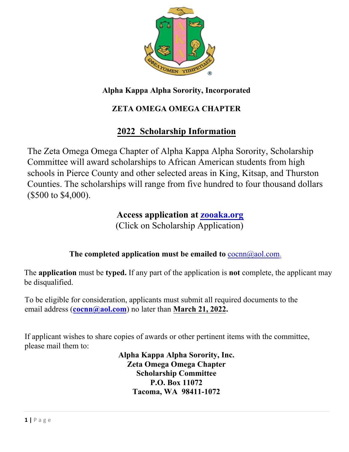

# **ZETA OMEGA OMEGA CHAPTER**

# **2022 Scholarship Information**

The Zeta Omega Omega Chapter of Alpha Kappa Alpha Sorority, Scholarship Committee will award scholarships to African American students from high schools in Pierce County and other selected areas in King, Kitsap, and Thurston Counties. The scholarships will range from five hundred to four thousand dollars (\$500 to \$4,000).

# **Access application at zooaka.org**

(Click on Scholarship Application)

### **The completed application must be emailed to** cocnn@aol.com.

The **application** must be **typed.** If any part of the application is **not** complete, the applicant may be disqualified.

To be eligible for consideration, applicants must submit all required documents to the email address (**cocnn@aol.com**) no later than **March 21, 2022.** 

If applicant wishes to share copies of awards or other pertinent items with the committee, please mail them to:

**Alpha Kappa Alpha Sorority, Inc. Zeta Omega Omega Chapter Scholarship Committee P.O. Box 11072 Tacoma, WA 98411-1072**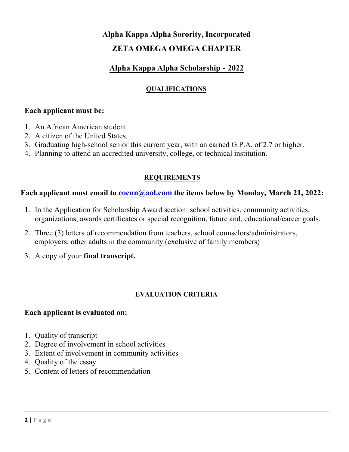# **Alpha Kappa Alpha Sorority, Incorporated ZETA OMEGA OMEGA CHAPTER**

### **Alpha Kappa Alpha Scholarship - 2022**

### **QUALIFICATIONS**

#### **Each applicant must be:**

- 1. An African American student.
- 2. A citizen of the United States.
- 3. Graduating high-school senior this current year, with an earned G.P.A. of 2.7 or higher.
- 4. Planning to attend an accredited university, college, or technical institution.

#### **REQUIREMENTS**

#### **Each applicant must email to cocnn@aol.com the items below by Monday, March 21, 2022:**

- 1. In the Application for Scholarship Award section: school activities, community activities, organizations, awards certificates or special recognition, future and, educational/career goals.
- 2. Three (3) letters of recommendation from teachers, school counselors/administrators, employers, other adults in the community (exclusive of family members)
- 3. A copy of your **final transcript.**

#### **EVALUATION CRITERIA**

#### **Each applicant is evaluated on:**

- 1. Quality of transcript
- 2. Degree of involvement in school activities
- 3. Extent of involvement in community activities
- 4. Quality of the essay
- 5. Content of letters of recommendation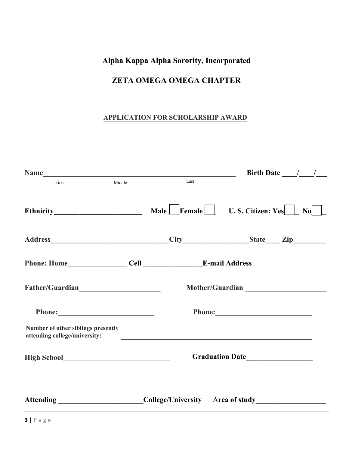## **ZETA OMEGA OMEGA CHAPTER**

### **APPLICATION FOR SCHOLARSHIP AWARD**

|                                                                     |      | Birth Date $\frac{1}{\sqrt{2}}$                                                                      |  |
|---------------------------------------------------------------------|------|------------------------------------------------------------------------------------------------------|--|
| First<br>Middle                                                     | Last |                                                                                                      |  |
|                                                                     |      | Ethnicity Male Female U.S. Citizen: Yes No                                                           |  |
|                                                                     |      |                                                                                                      |  |
|                                                                     |      |                                                                                                      |  |
| Father/Guardian                                                     |      |                                                                                                      |  |
|                                                                     |      |                                                                                                      |  |
| Number of other siblings presently<br>attending college/university: |      |                                                                                                      |  |
|                                                                     |      |                                                                                                      |  |
|                                                                     |      | Attending ___________________________College/University Area of study ______________________________ |  |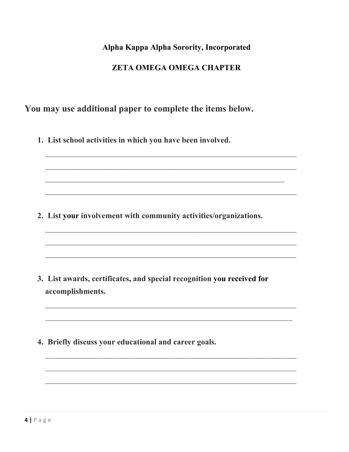### **ZETA OMEGA OMEGA CHAPTER**

### You may use additional paper to complete the items below.

1. List school activities in which you have been involved.

2. List your involvement with community activities/organizations.

- 3. List awards, certificates, and special recognition you received for accomplishments.
- 4. Briefly discuss your educational and career goals.